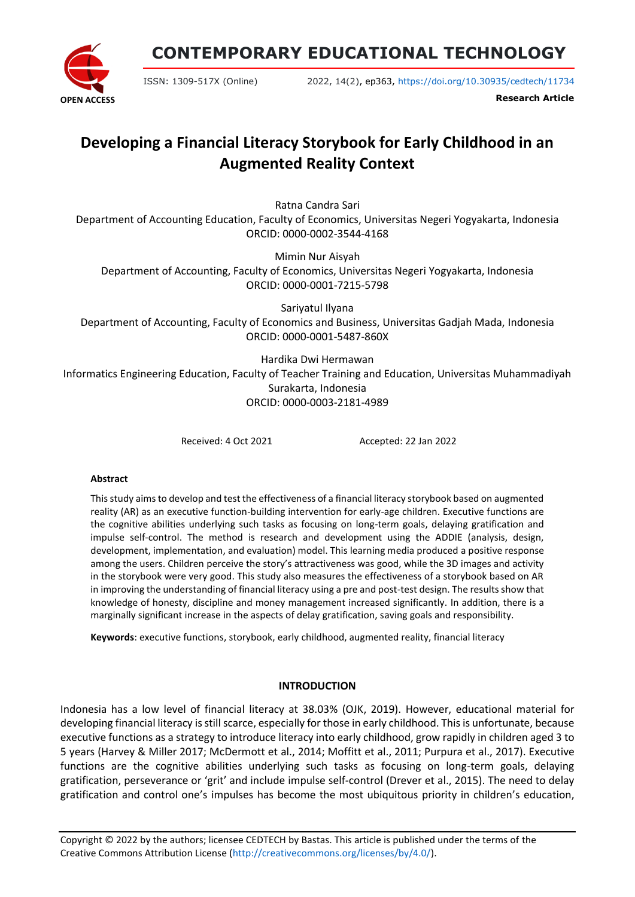**OPEN ACCESS**

**CONTEMPORARY EDUCATIONAL TECHNOLOGY**

ISSN: 1309-517X (Online) 2022, 14(2), ep363,<https://doi.org/10.30935/cedtech/11734>

**Research Article**

# **Developing a Financial Literacy Storybook for Early Childhood in an Augmented Reality Context**

Ratna Candra Sari

Department of Accounting Education, Faculty of Economics, Universitas Negeri Yogyakarta, Indonesia ORCID: 0000-0002-3544-4168

Mimin Nur Aisyah Department of Accounting, Faculty of Economics, Universitas Negeri Yogyakarta, Indonesia ORCID: 0000-0001-7215-5798

Sariyatul Ilyana Department of Accounting, Faculty of Economics and Business, Universitas Gadjah Mada, Indonesia ORCID: 0000-0001-5487-860X

Hardika Dwi Hermawan Informatics Engineering Education, Faculty of Teacher Training and Education, Universitas Muhammadiyah Surakarta, Indonesia ORCID: 0000-0003-2181-4989

Received: 4 Oct 2021 Accepted: 22 Jan 2022

#### **Abstract**

This study aims to develop and test the effectiveness of a financial literacy storybook based on augmented reality (AR) as an executive function-building intervention for early-age children. Executive functions are the cognitive abilities underlying such tasks as focusing on long-term goals, delaying gratification and impulse self-control. The method is research and development using the ADDIE (analysis, design, development, implementation, and evaluation) model. This learning media produced a positive response among the users. Children perceive the story's attractiveness was good, while the 3D images and activity in the storybook were very good. This study also measures the effectiveness of a storybook based on AR in improving the understanding of financial literacy using a pre and post-test design. The results show that knowledge of honesty, discipline and money management increased significantly. In addition, there is a marginally significant increase in the aspects of delay gratification, saving goals and responsibility.

**Keywords**: executive functions, storybook, early childhood, augmented reality, financial literacy

#### **INTRODUCTION**

Indonesia has a low level of financial literacy at 38.03% (OJK, 2019). However, educational material for developing financial literacy is still scarce, especially for those in early childhood. This is unfortunate, because executive functions as a strategy to introduce literacy into early childhood, grow rapidly in children aged 3 to 5 years (Harvey & Miller 2017; McDermott et al., 2014; Moffitt et al., 2011; Purpura et al., 2017). Executive functions are the cognitive abilities underlying such tasks as focusing on long-term goals, delaying gratification, perseverance or 'grit' and include impulse self-control (Drever et al., 2015). The need to delay gratification and control one's impulses has become the most ubiquitous priority in children's education,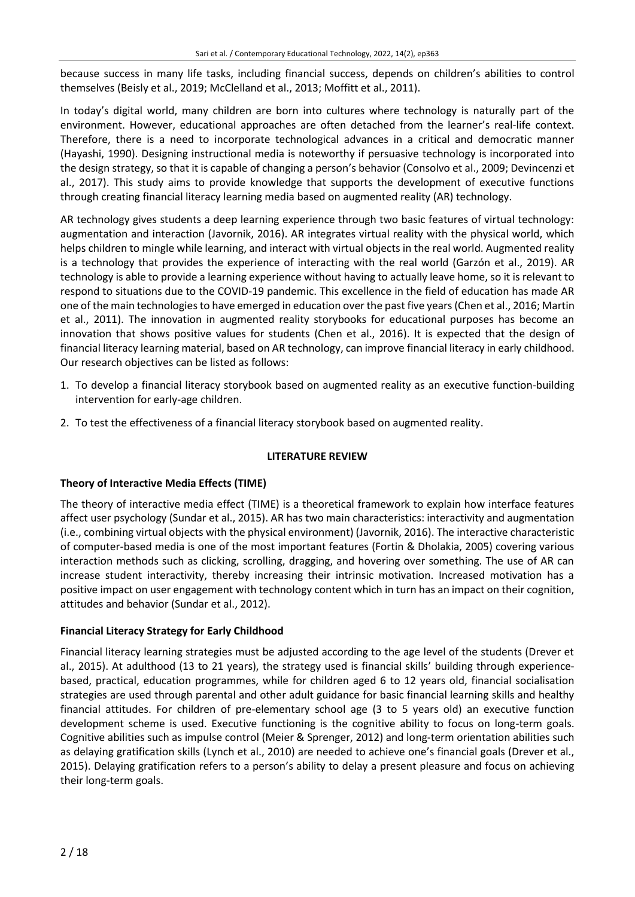because success in many life tasks, including financial success, depends on children's abilities to control themselves (Beisly et al., 2019; McClelland et al., 2013; Moffitt et al., 2011).

In today's digital world, many children are born into cultures where technology is naturally part of the environment. However, educational approaches are often detached from the learner's real-life context. Therefore, there is a need to incorporate technological advances in a critical and democratic manner (Hayashi, 1990). Designing instructional media is noteworthy if persuasive technology is incorporated into the design strategy, so that it is capable of changing a person's behavior (Consolvo et al., 2009; Devincenzi et al., 2017). This study aims to provide knowledge that supports the development of executive functions through creating financial literacy learning media based on augmented reality (AR) technology.

AR technology gives students a deep learning experience through two basic features of virtual technology: augmentation and interaction (Javornik, 2016). AR integrates virtual reality with the physical world, which helps children to mingle while learning, and interact with virtual objects in the real world. Augmented reality is a technology that provides the experience of interacting with the real world (Garzón et al., 2019). AR technology is able to provide a learning experience without having to actually leave home, so it is relevant to respond to situations due to the COVID-19 pandemic. This excellence in the field of education has made AR one of the main technologies to have emerged in education over the past five years (Chen et al., 2016; Martin et al., 2011). The innovation in augmented reality storybooks for educational purposes has become an innovation that shows positive values for students (Chen et al., 2016). It is expected that the design of financial literacy learning material, based on AR technology, can improve financial literacy in early childhood. Our research objectives can be listed as follows:

- 1. To develop a financial literacy storybook based on augmented reality as an executive function-building intervention for early-age children.
- 2. To test the effectiveness of a financial literacy storybook based on augmented reality.

#### **LITERATURE REVIEW**

#### **Theory of Interactive Media Effects (TIME)**

The theory of interactive media effect (TIME) is a theoretical framework to explain how interface features affect user psychology (Sundar et al., 2015). AR has two main characteristics: interactivity and augmentation (i.e., combining virtual objects with the physical environment) (Javornik, 2016). The interactive characteristic of computer-based media is one of the most important features (Fortin & Dholakia, 2005) covering various interaction methods such as clicking, scrolling, dragging, and hovering over something. The use of AR can increase student interactivity, thereby increasing their intrinsic motivation. Increased motivation has a positive impact on user engagement with technology content which in turn has an impact on their cognition, attitudes and behavior (Sundar et al., 2012).

#### **Financial Literacy Strategy for Early Childhood**

Financial literacy learning strategies must be adjusted according to the age level of the students (Drever et al., 2015). At adulthood (13 to 21 years), the strategy used is financial skills' building through experiencebased, practical, education programmes, while for children aged 6 to 12 years old, financial socialisation strategies are used through parental and other adult guidance for basic financial learning skills and healthy financial attitudes. For children of pre-elementary school age (3 to 5 years old) an executive function development scheme is used. Executive functioning is the cognitive ability to focus on long-term goals. Cognitive abilities such as impulse control (Meier & Sprenger, 2012) and long-term orientation abilities such as delaying gratification skills (Lynch et al., 2010) are needed to achieve one's financial goals (Drever et al., 2015). Delaying gratification refers to a person's ability to delay a present pleasure and focus on achieving their long-term goals.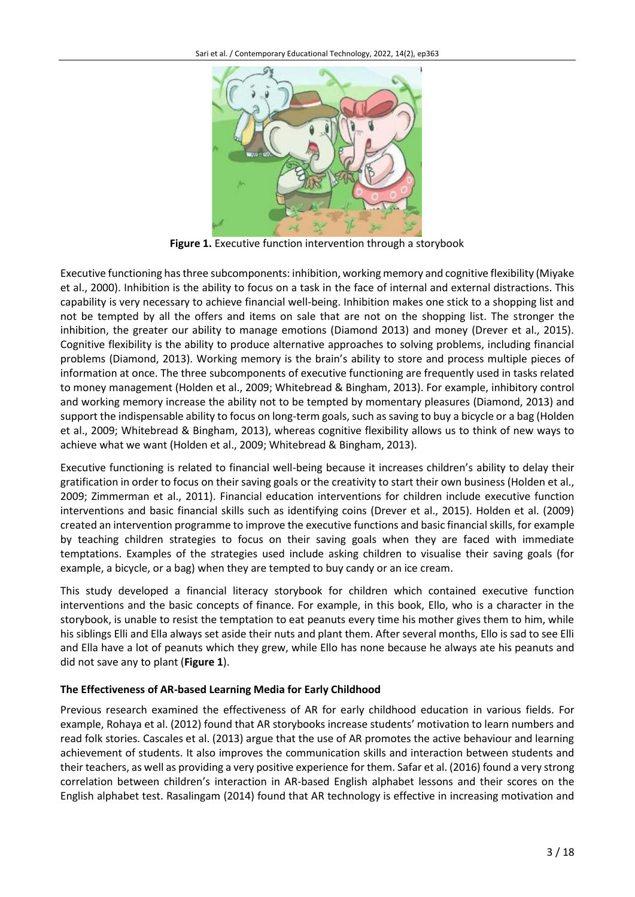

**Figure 1.** Executive function intervention through a storybook

Executive functioning has three subcomponents: inhibition, working memory and cognitive flexibility (Miyake et al., 2000). Inhibition is the ability to focus on a task in the face of internal and external distractions. This capability is very necessary to achieve financial well-being. Inhibition makes one stick to a shopping list and not be tempted by all the offers and items on sale that are not on the shopping list. The stronger the inhibition, the greater our ability to manage emotions (Diamond 2013) and money (Drever et al., 2015). Cognitive flexibility is the ability to produce alternative approaches to solving problems, including financial problems (Diamond, 2013). Working memory is the brain's ability to store and process multiple pieces of information at once. The three subcomponents of executive functioning are frequently used in tasks related to money management (Holden et al., 2009; Whitebread & Bingham, 2013). For example, inhibitory control and working memory increase the ability not to be tempted by momentary pleasures (Diamond, 2013) and support the indispensable ability to focus on long-term goals, such as saving to buy a bicycle or a bag (Holden et al., 2009; Whitebread & Bingham, 2013), whereas cognitive flexibility allows us to think of new ways to achieve what we want (Holden et al., 2009; Whitebread & Bingham, 2013).

Executive functioning is related to financial well-being because it increases children's ability to delay their gratification in order to focus on their saving goals or the creativity to start their own business (Holden et al., 2009; Zimmerman et al., 2011). Financial education interventions for children include executive function interventions and basic financial skills such as identifying coins (Drever et al., 2015). Holden et al. (2009) created an intervention programme to improve the executive functions and basic financial skills, for example by teaching children strategies to focus on their saving goals when they are faced with immediate temptations. Examples of the strategies used include asking children to visualise their saving goals (for example, a bicycle, or a bag) when they are tempted to buy candy or an ice cream.

This study developed a financial literacy storybook for children which contained executive function interventions and the basic concepts of finance. For example, in this book, Ello, who is a character in the storybook, is unable to resist the temptation to eat peanuts every time his mother gives them to him, while his siblings Elli and Ella always set aside their nuts and plant them. After several months, Ello is sad to see Elli and Ella have a lot of peanuts which they grew, while Ello has none because he always ate his peanuts and did not save any to plant (**Figure 1**).

## **The Effectiveness of AR-based Learning Media for Early Childhood**

Previous research examined the effectiveness of AR for early childhood education in various fields. For example, Rohaya et al. (2012) found that AR storybooks increase students' motivation to learn numbers and read folk stories. Cascales et al. (2013) argue that the use of AR promotes the active behaviour and learning achievement of students. It also improves the communication skills and interaction between students and their teachers, as well as providing a very positive experience for them. Safar et al. (2016) found a very strong correlation between children's interaction in AR-based English alphabet lessons and their scores on the English alphabet test. Rasalingam (2014) found that AR technology is effective in increasing motivation and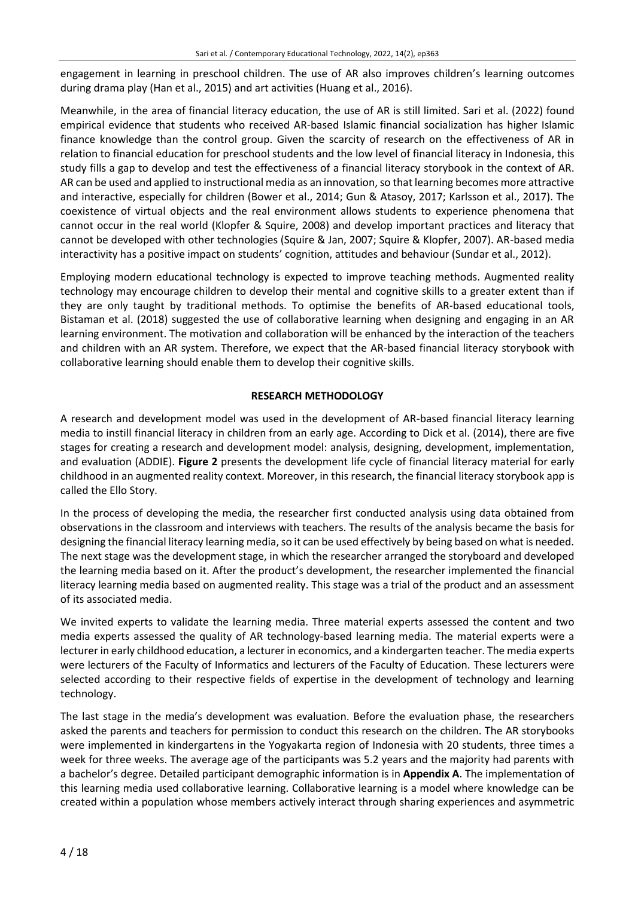engagement in learning in preschool children. The use of AR also improves children's learning outcomes during drama play (Han et al., 2015) and art activities (Huang et al., 2016).

Meanwhile, in the area of financial literacy education, the use of AR is still limited. Sari et al. (2022) found empirical evidence that students who received AR-based Islamic financial socialization has higher Islamic finance knowledge than the control group. Given the scarcity of research on the effectiveness of AR in relation to financial education for preschool students and the low level of financial literacy in Indonesia, this study fills a gap to develop and test the effectiveness of a financial literacy storybook in the context of AR. AR can be used and applied to instructional media as an innovation, so that learning becomes more attractive and interactive, especially for children (Bower et al., 2014; Gun & Atasoy, 2017; Karlsson et al., 2017). The coexistence of virtual objects and the real environment allows students to experience phenomena that cannot occur in the real world (Klopfer & Squire, 2008) and develop important practices and literacy that cannot be developed with other technologies (Squire & Jan, 2007; Squire & Klopfer, 2007). AR-based media interactivity has a positive impact on students' cognition, attitudes and behaviour (Sundar et al., 2012).

Employing modern educational technology is expected to improve teaching methods. Augmented reality technology may encourage children to develop their mental and cognitive skills to a greater extent than if they are only taught by traditional methods. To optimise the benefits of AR-based educational tools, Bistaman et al. (2018) suggested the use of collaborative learning when designing and engaging in an AR learning environment. The motivation and collaboration will be enhanced by the interaction of the teachers and children with an AR system. Therefore, we expect that the AR-based financial literacy storybook with collaborative learning should enable them to develop their cognitive skills.

#### **RESEARCH METHODOLOGY**

A research and development model was used in the development of AR-based financial literacy learning media to instill financial literacy in children from an early age. According to Dick et al. (2014), there are five stages for creating a research and development model: analysis, designing, development, implementation, and evaluation (ADDIE). **Figure 2** presents the development life cycle of financial literacy material for early childhood in an augmented reality context. Moreover, in this research, the financial literacy storybook app is called the Ello Story.

In the process of developing the media, the researcher first conducted analysis using data obtained from observations in the classroom and interviews with teachers. The results of the analysis became the basis for designing the financial literacy learning media, so it can be used effectively by being based on what is needed. The next stage was the development stage, in which the researcher arranged the storyboard and developed the learning media based on it. After the product's development, the researcher implemented the financial literacy learning media based on augmented reality. This stage was a trial of the product and an assessment of its associated media.

We invited experts to validate the learning media. Three material experts assessed the content and two media experts assessed the quality of AR technology-based learning media. The material experts were a lecturer in early childhood education, a lecturer in economics, and a kindergarten teacher. The media experts were lecturers of the Faculty of Informatics and lecturers of the Faculty of Education. These lecturers were selected according to their respective fields of expertise in the development of technology and learning technology.

The last stage in the media's development was evaluation. Before the evaluation phase, the researchers asked the parents and teachers for permission to conduct this research on the children. The AR storybooks were implemented in kindergartens in the Yogyakarta region of Indonesia with 20 students, three times a week for three weeks. The average age of the participants was 5.2 years and the majority had parents with a bachelor's degree. Detailed participant demographic information is in **Appendix A**. The implementation of this learning media used collaborative learning. Collaborative learning is a model where knowledge can be created within a population whose members actively interact through sharing experiences and asymmetric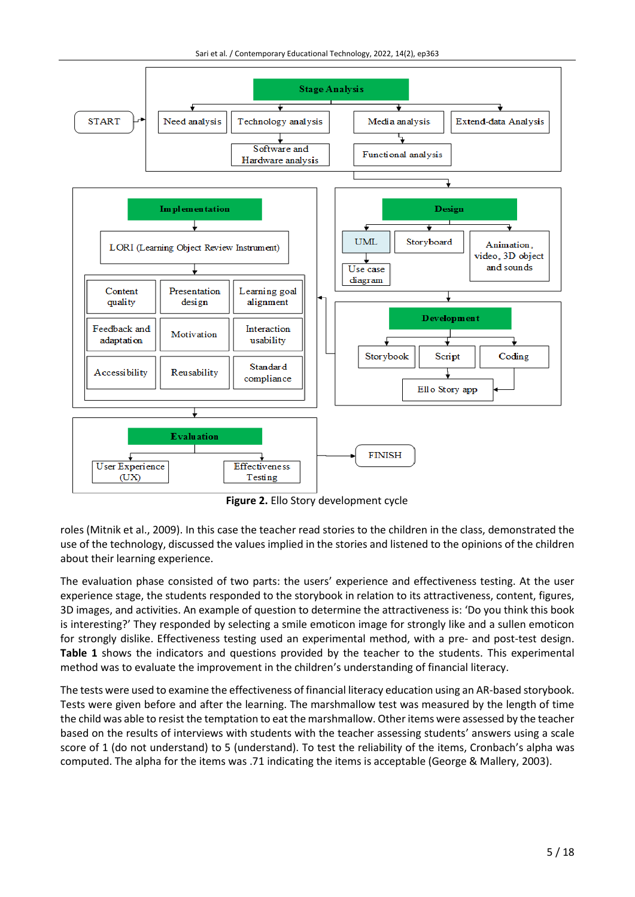

**Figure 2.** Ello Story development cycle

roles (Mitnik et al., 2009). In this case the teacher read stories to the children in the class, demonstrated the use of the technology, discussed the values implied in the stories and listened to the opinions of the children about their learning experience.

The evaluation phase consisted of two parts: the users' experience and effectiveness testing. At the user experience stage, the students responded to the storybook in relation to its attractiveness, content, figures, 3D images, and activities. An example of question to determine the attractiveness is: 'Do you think this book is interesting?' They responded by selecting a smile emoticon image for strongly like and a sullen emoticon for strongly dislike. Effectiveness testing used an experimental method, with a pre- and post-test design. **Table 1** shows the indicators and questions provided by the teacher to the students. This experimental method was to evaluate the improvement in the children's understanding of financial literacy.

The tests were used to examine the effectiveness of financial literacy education using an AR-based storybook. Tests were given before and after the learning. The marshmallow test was measured by the length of time the child was able to resist the temptation to eat the marshmallow. Other items were assessed by the teacher based on the results of interviews with students with the teacher assessing students' answers using a scale score of 1 (do not understand) to 5 (understand). To test the reliability of the items, Cronbach's alpha was computed. The alpha for the items was .71 indicating the items is acceptable (George & Mallery, 2003).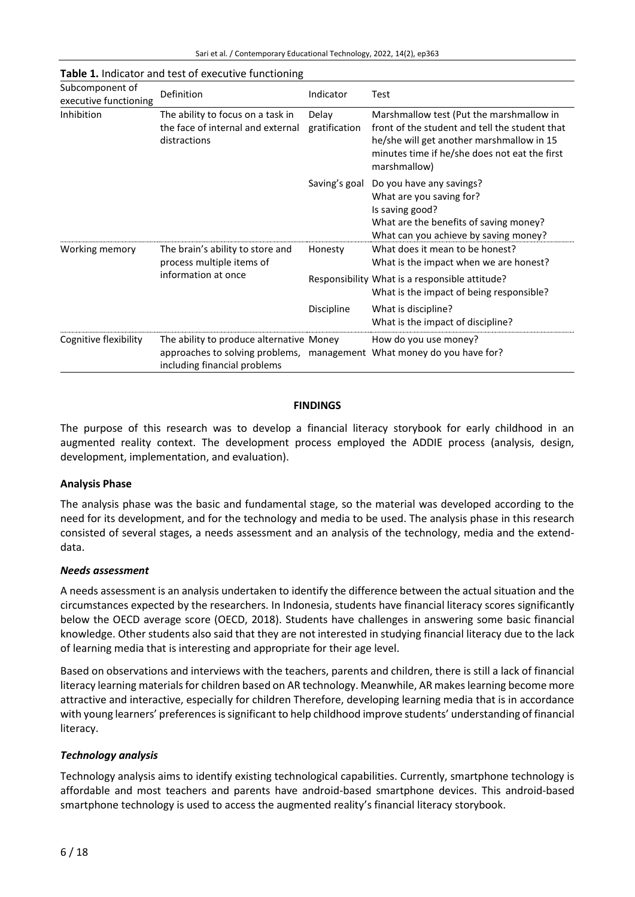| Subcomponent of<br>executive functioning | <b>Definition</b>                                                                                                                                  | Indicator              | Test                                                                                                                                                                                                     |
|------------------------------------------|----------------------------------------------------------------------------------------------------------------------------------------------------|------------------------|----------------------------------------------------------------------------------------------------------------------------------------------------------------------------------------------------------|
| Inhibition                               | The ability to focus on a task in<br>the face of internal and external<br>distractions                                                             | Delay<br>gratification | Marshmallow test (Put the marshmallow in<br>front of the student and tell the student that<br>he/she will get another marshmallow in 15<br>minutes time if he/she does not eat the first<br>marshmallow) |
|                                          |                                                                                                                                                    | Saving's goal          | Do you have any savings?<br>What are you saving for?<br>Is saving good?<br>What are the benefits of saving money?<br>What can you achieve by saving money?                                               |
| Working memory                           | The brain's ability to store and<br>process multiple items of<br>information at once                                                               | Honesty                | What does it mean to be honest?<br>What is the impact when we are honest?                                                                                                                                |
|                                          |                                                                                                                                                    |                        | Responsibility What is a responsible attitude?<br>What is the impact of being responsible?                                                                                                               |
|                                          |                                                                                                                                                    | Discipline             | What is discipline?<br>What is the impact of discipline?                                                                                                                                                 |
| Cognitive flexibility                    | The ability to produce alternative Money<br>approaches to solving problems, management What money do you have for?<br>including financial problems |                        | How do you use money?                                                                                                                                                                                    |

#### **Table 1.** Indicator and test of executive functioning

#### **FINDINGS**

The purpose of this research was to develop a financial literacy storybook for early childhood in an augmented reality context. The development process employed the ADDIE process (analysis, design, development, implementation, and evaluation).

#### **Analysis Phase**

The analysis phase was the basic and fundamental stage, so the material was developed according to the need for its development, and for the technology and media to be used. The analysis phase in this research consisted of several stages, a needs assessment and an analysis of the technology, media and the extenddata.

#### *Needs assessment*

A needs assessment is an analysis undertaken to identify the difference between the actual situation and the circumstances expected by the researchers. In Indonesia, students have financial literacy scores significantly below the OECD average score (OECD, 2018). Students have challenges in answering some basic financial knowledge. Other students also said that they are not interested in studying financial literacy due to the lack of learning media that is interesting and appropriate for their age level.

Based on observations and interviews with the teachers, parents and children, there is still a lack of financial literacy learning materials for children based on AR technology. Meanwhile, AR makes learning become more attractive and interactive, especially for children Therefore, developing learning media that is in accordance with young learners' preferences is significant to help childhood improve students' understanding of financial literacy.

#### *Technology analysis*

Technology analysis aims to identify existing technological capabilities. Currently, smartphone technology is affordable and most teachers and parents have android-based smartphone devices. This android-based smartphone technology is used to access the augmented reality's financial literacy storybook.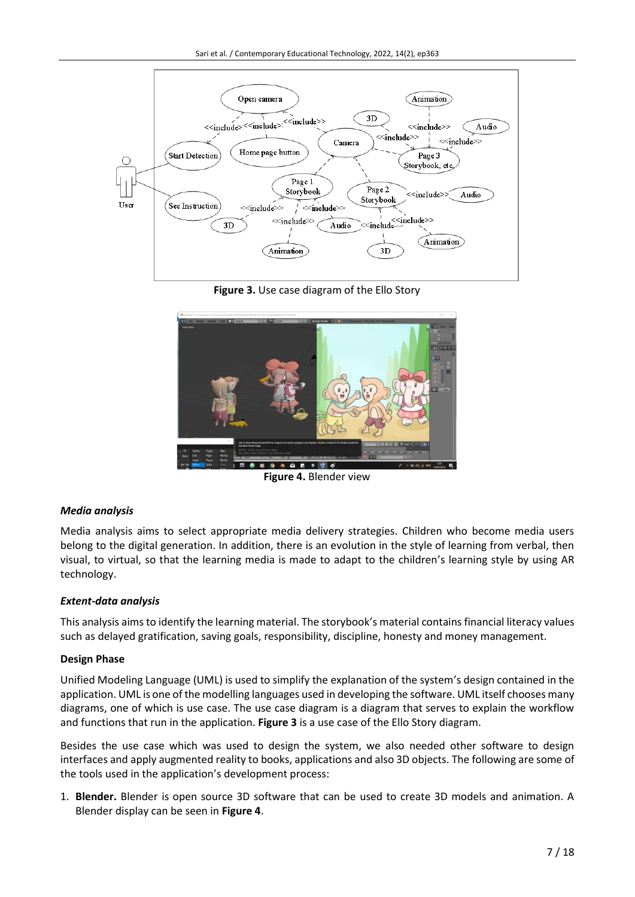

**Figure 3.** Use case diagram of the Ello Story



**Figure 4.** Blender view

## *Media analysis*

Media analysis aims to select appropriate media delivery strategies. Children who become media users belong to the digital generation. In addition, there is an evolution in the style of learning from verbal, then visual, to virtual, so that the learning media is made to adapt to the children's learning style by using AR technology.

#### *Extent-data analysis*

This analysis aims to identify the learning material. The storybook's material contains financial literacy values such as delayed gratification, saving goals, responsibility, discipline, honesty and money management.

#### **Design Phase**

Unified Modeling Language (UML) is used to simplify the explanation of the system's design contained in the application. UML is one of the modelling languages used in developing the software. UML itself chooses many diagrams, one of which is use case. The use case diagram is a diagram that serves to explain the workflow and functions that run in the application. **Figure 3** is a use case of the Ello Story diagram.

Besides the use case which was used to design the system, we also needed other software to design interfaces and apply augmented reality to books, applications and also 3D objects. The following are some of the tools used in the application's development process:

1. **Blender.** Blender is open source 3D software that can be used to create 3D models and animation. A Blender display can be seen in **Figure 4**.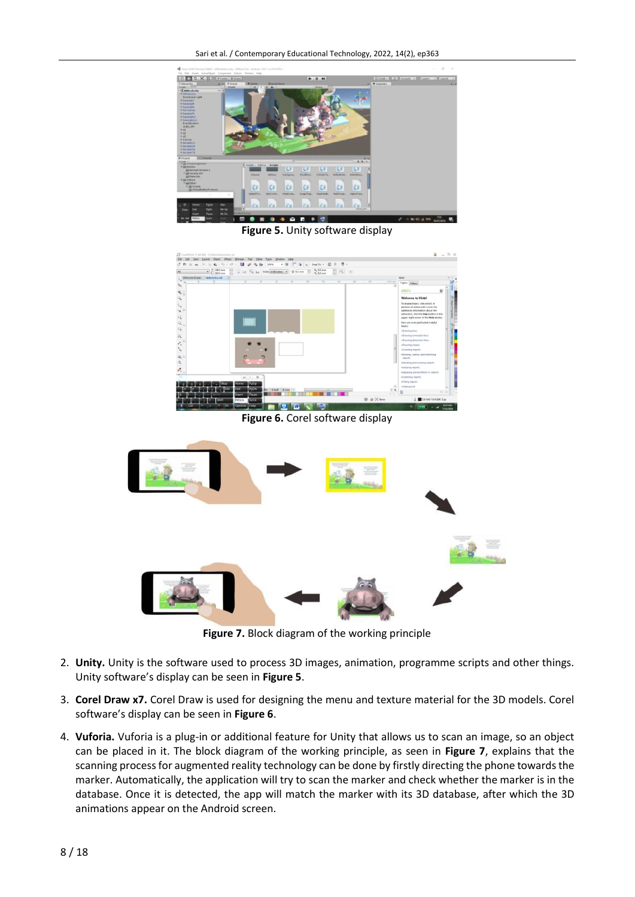

**Figure 5.** Unity software display



**Figure 6.** Corel software display



**Figure 7.** Block diagram of the working principle

- 2. **Unity.** Unity is the software used to process 3D images, animation, programme scripts and other things. Unity software's display can be seen in **Figure 5**.
- 3. **Corel Draw x7.** Corel Draw is used for designing the menu and texture material for the 3D models. Corel software's display can be seen in **Figure 6**.
- 4. **Vuforia.** Vuforia is a plug-in or additional feature for Unity that allows us to scan an image, so an object can be placed in it. The block diagram of the working principle, as seen in **Figure 7**, explains that the scanning process for augmented reality technology can be done by firstly directing the phone towards the marker. Automatically, the application will try to scan the marker and check whether the marker is in the database. Once it is detected, the app will match the marker with its 3D database, after which the 3D animations appear on the Android screen.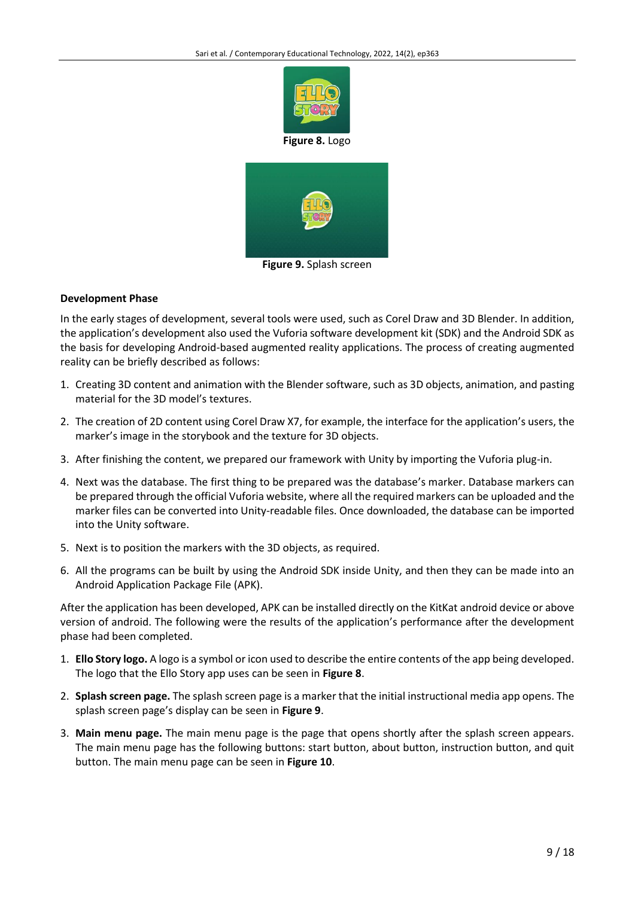

**Figure 8.** Logo



**Figure 9.** Splash screen

#### **Development Phase**

In the early stages of development, several tools were used, such as Corel Draw and 3D Blender. In addition, the application's development also used the Vuforia software development kit (SDK) and the Android SDK as the basis for developing Android-based augmented reality applications. The process of creating augmented reality can be briefly described as follows:

- 1. Creating 3D content and animation with the Blender software, such as 3D objects, animation, and pasting material for the 3D model's textures.
- 2. The creation of 2D content using Corel Draw X7, for example, the interface for the application's users, the marker's image in the storybook and the texture for 3D objects.
- 3. After finishing the content, we prepared our framework with Unity by importing the Vuforia plug-in.
- 4. Next was the database. The first thing to be prepared was the database's marker. Database markers can be prepared through the official Vuforia website, where all the required markers can be uploaded and the marker files can be converted into Unity-readable files. Once downloaded, the database can be imported into the Unity software.
- 5. Next is to position the markers with the 3D objects, as required.
- 6. All the programs can be built by using the Android SDK inside Unity, and then they can be made into an Android Application Package File (APK).

After the application has been developed, APK can be installed directly on the KitKat android device or above version of android. The following were the results of the application's performance after the development phase had been completed.

- 1. **Ello Story logo.** A logo is a symbol or icon used to describe the entire contents of the app being developed. The logo that the Ello Story app uses can be seen in **Figure 8**.
- 2. **Splash screen page.** The splash screen page is a marker that the initial instructional media app opens. The splash screen page's display can be seen in **Figure 9**.
- 3. **Main menu page.** The main menu page is the page that opens shortly after the splash screen appears. The main menu page has the following buttons: start button, about button, instruction button, and quit button. The main menu page can be seen in **Figure 10**.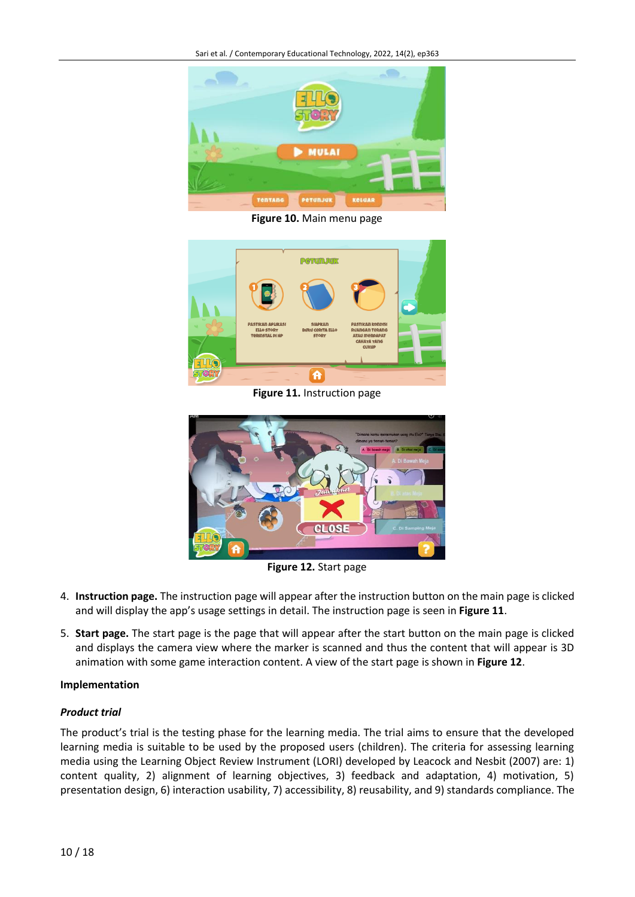

**Figure 10.** Main menu page



**Figure 11.** Instruction page



**Figure 12.** Start page

- 4. **Instruction page.** The instruction page will appear after the instruction button on the main page is clicked and will display the app's usage settings in detail. The instruction page is seen in **Figure 11**.
- 5. **Start page.** The start page is the page that will appear after the start button on the main page is clicked and displays the camera view where the marker is scanned and thus the content that will appear is 3D animation with some game interaction content. A view of the start page is shown in **Figure 12**.

#### **Implementation**

#### *Product trial*

The product's trial is the testing phase for the learning media. The trial aims to ensure that the developed learning media is suitable to be used by the proposed users (children). The criteria for assessing learning media using the Learning Object Review Instrument (LORI) developed by Leacock and Nesbit (2007) are: 1) content quality, 2) alignment of learning objectives, 3) feedback and adaptation, 4) motivation, 5) presentation design, 6) interaction usability, 7) accessibility, 8) reusability, and 9) standards compliance. The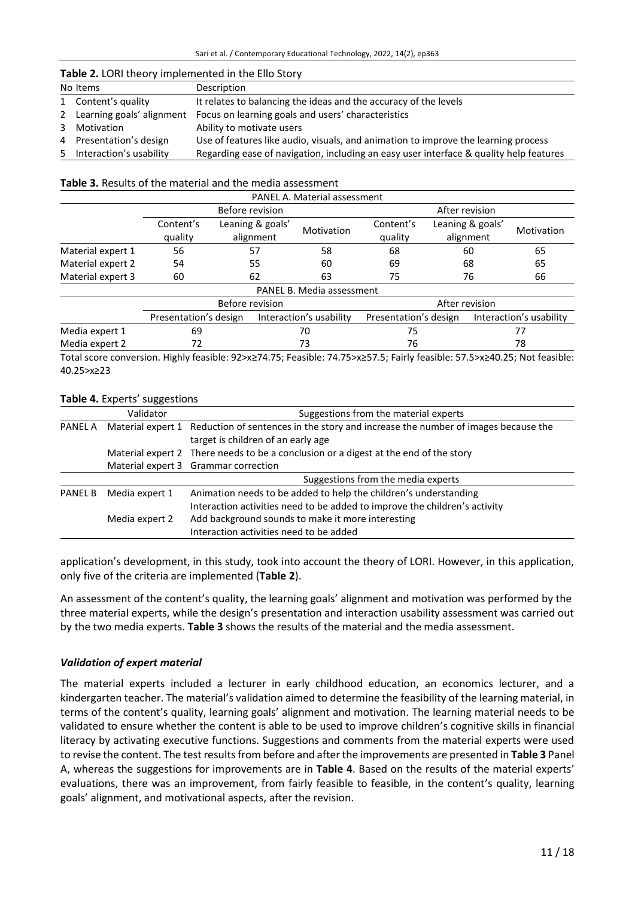#### **Table 2.** LORI theory implemented in the Ello Story

| No Items                    | Description                                                                            |
|-----------------------------|----------------------------------------------------------------------------------------|
| 1 Content's quality         | It relates to balancing the ideas and the accuracy of the levels                       |
| 2 Learning goals' alignment | Focus on learning goals and users' characteristics                                     |
| 3 Motivation                | Ability to motivate users                                                              |
| 4 Presentation's design     | Use of features like audio, visuals, and animation to improve the learning process     |
| 5 Interaction's usability   | Regarding ease of navigation, including an easy user interface & quality help features |

#### **Table 3.** Results of the material and the media assessment

| PANEL A. Material assessment |                       |                  |                           |                       |                  |  |                         |
|------------------------------|-----------------------|------------------|---------------------------|-----------------------|------------------|--|-------------------------|
|                              | Before revision       |                  |                           | After revision        |                  |  |                         |
|                              | Content's             | Leaning & goals' | Motivation                | Content's             | Leaning & goals' |  | Motivation              |
|                              | quality               | alignment        |                           | quality               | alignment        |  |                         |
| Material expert 1            | 56                    | 57               | 58                        | 68                    | 60               |  | 65                      |
| Material expert 2            | 54                    | 55               | 60                        | 69                    | 68               |  | 65                      |
| Material expert 3            | 60                    | 62               | 63                        | 75                    | 76               |  | 66                      |
|                              |                       |                  | PANEL B. Media assessment |                       |                  |  |                         |
|                              | Before revision       | After revision   |                           |                       |                  |  |                         |
|                              | Presentation's design |                  | Interaction's usability   | Presentation's design |                  |  | Interaction's usability |
| Media expert 1               | 69                    |                  | 70                        |                       | 75               |  | 77                      |
| Media expert 2               | 72                    |                  | 73                        | 76<br>78              |                  |  |                         |

Total score conversion. Highly feasible: 92>x≥74.75; Feasible: 74.75>x≥57.5; Fairly feasible: 57.5>x≥40.25; Not feasible: 40.25>x≥23

#### **Table 4.** Experts' suggestions

|                | Validator                                                                                                                                 | Suggestions from the material experts                                                |  |  |
|----------------|-------------------------------------------------------------------------------------------------------------------------------------------|--------------------------------------------------------------------------------------|--|--|
| PANEL A        | Material expert 1 Reduction of sentences in the story and increase the number of images because the<br>target is children of an early age |                                                                                      |  |  |
|                |                                                                                                                                           | Material expert 2 There needs to be a conclusion or a digest at the end of the story |  |  |
|                |                                                                                                                                           | Material expert 3 Grammar correction                                                 |  |  |
|                |                                                                                                                                           | Suggestions from the media experts                                                   |  |  |
| <b>PANEL B</b> | Media expert 1                                                                                                                            | Animation needs to be added to help the children's understanding                     |  |  |
|                |                                                                                                                                           | Interaction activities need to be added to improve the children's activity           |  |  |
|                | Media expert 2                                                                                                                            | Add background sounds to make it more interesting                                    |  |  |
|                |                                                                                                                                           | Interaction activities need to be added                                              |  |  |

application's development, in this study, took into account the theory of LORI. However, in this application, only five of the criteria are implemented (**Table 2**).

An assessment of the content's quality, the learning goals' alignment and motivation was performed by the three material experts, while the design's presentation and interaction usability assessment was carried out by the two media experts. **Table 3** shows the results of the material and the media assessment.

#### *Validation of expert material*

The material experts included a lecturer in early childhood education, an economics lecturer, and a kindergarten teacher. The material's validation aimed to determine the feasibility of the learning material, in terms of the content's quality, learning goals' alignment and motivation. The learning material needs to be validated to ensure whether the content is able to be used to improve children's cognitive skills in financial literacy by activating executive functions. Suggestions and comments from the material experts were used to revise the content. The test results from before and after the improvements are presented in **Table 3** Panel A, whereas the suggestions for improvements are in **Table 4**. Based on the results of the material experts' evaluations, there was an improvement, from fairly feasible to feasible, in the content's quality, learning goals' alignment, and motivational aspects, after the revision.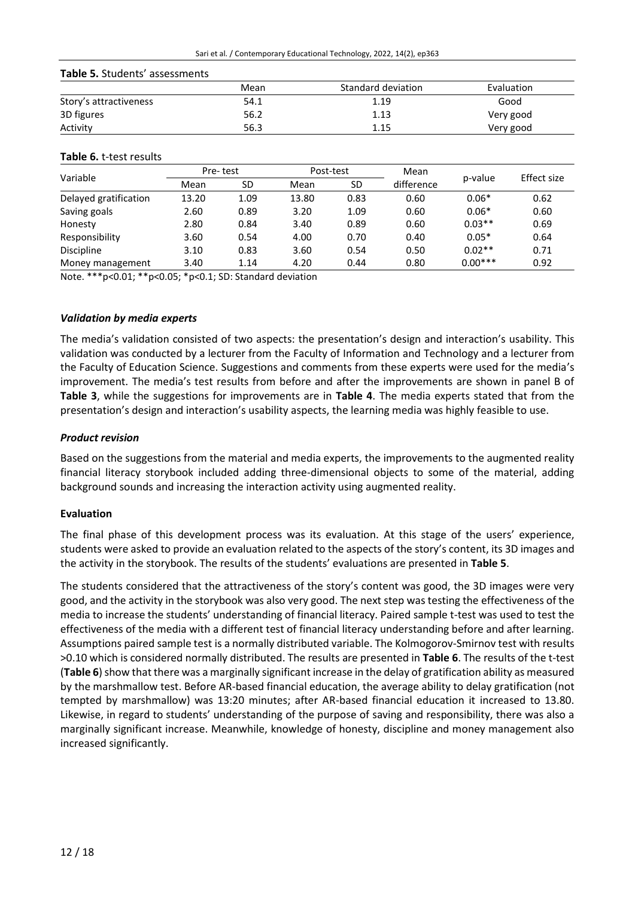## **Table 5.** Students' assessments

|                        | Mean | Standard deviation | Evaluation |
|------------------------|------|--------------------|------------|
| Story's attractiveness | 54.1 | 1.19               | Good       |
| 3D figures             | 56.2 | 1.13               | Very good  |
| Activity               | 56.3 | 1.15               | Very good  |

#### **Table 6.** t-test results

|                       | Pre-test |      | Post-test |      | Mean       |           |             |
|-----------------------|----------|------|-----------|------|------------|-----------|-------------|
| Variable              | Mean     | SD   | Mean      | SD   | difference | p-value   | Effect size |
| Delayed gratification | 13.20    | 1.09 | 13.80     | 0.83 | 0.60       | $0.06*$   | 0.62        |
| Saving goals          | 2.60     | 0.89 | 3.20      | 1.09 | 0.60       | $0.06*$   | 0.60        |
| Honesty               | 2.80     | 0.84 | 3.40      | 0.89 | 0.60       | $0.03**$  | 0.69        |
| Responsibility        | 3.60     | 0.54 | 4.00      | 0.70 | 0.40       | $0.05*$   | 0.64        |
| <b>Discipline</b>     | 3.10     | 0.83 | 3.60      | 0.54 | 0.50       | $0.02**$  | 0.71        |
| Money management      | 3.40     | 1.14 | 4.20      | 0.44 | 0.80       | $0.00***$ | 0.92        |

Note. \*\*\*p<0.01; \*\*p<0.05; \*p<0.1; SD: Standard deviation

#### *Validation by media experts*

The media's validation consisted of two aspects: the presentation's design and interaction's usability. This validation was conducted by a lecturer from the Faculty of Information and Technology and a lecturer from the Faculty of Education Science. Suggestions and comments from these experts were used for the media's improvement. The media's test results from before and after the improvements are shown in panel B of **Table 3**, while the suggestions for improvements are in **Table 4**. The media experts stated that from the presentation's design and interaction's usability aspects, the learning media was highly feasible to use.

#### *Product revision*

Based on the suggestions from the material and media experts, the improvements to the augmented reality financial literacy storybook included adding three-dimensional objects to some of the material, adding background sounds and increasing the interaction activity using augmented reality.

#### **Evaluation**

The final phase of this development process was its evaluation. At this stage of the users' experience, students were asked to provide an evaluation related to the aspects of the story's content, its 3D images and the activity in the storybook. The results of the students' evaluations are presented in **Table 5**.

The students considered that the attractiveness of the story's content was good, the 3D images were very good, and the activity in the storybook was also very good. The next step was testing the effectiveness of the media to increase the students' understanding of financial literacy. Paired sample t-test was used to test the effectiveness of the media with a different test of financial literacy understanding before and after learning. Assumptions paired sample test is a normally distributed variable. The Kolmogorov-Smirnov test with results >0.10 which is considered normally distributed. The results are presented in **Table 6**. The results of the t-test (**Table 6**) show that there was a marginally significant increase in the delay of gratification ability as measured by the marshmallow test. Before AR-based financial education, the average ability to delay gratification (not tempted by marshmallow) was 13:20 minutes; after AR-based financial education it increased to 13.80. Likewise, in regard to students' understanding of the purpose of saving and responsibility, there was also a marginally significant increase. Meanwhile, knowledge of honesty, discipline and money management also increased significantly.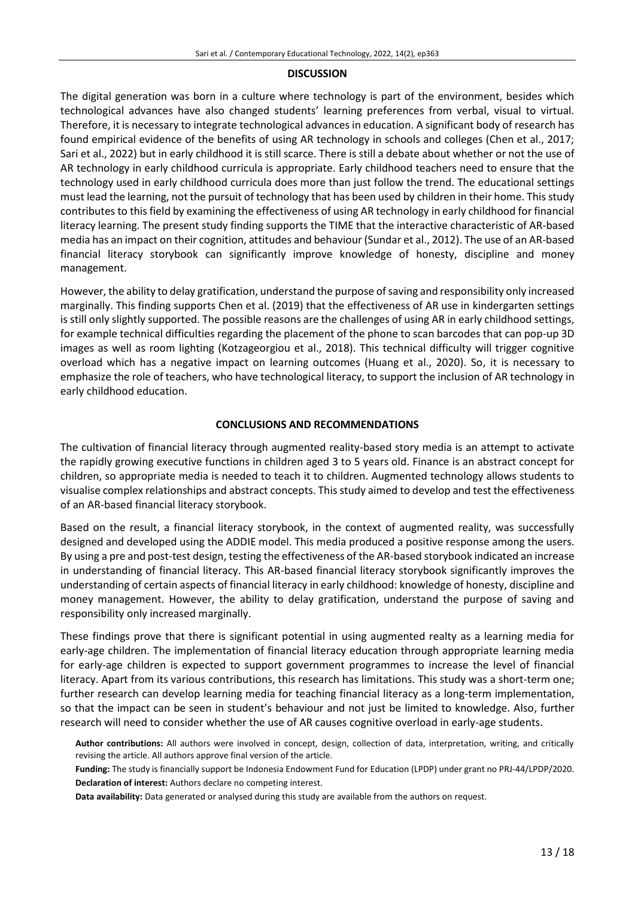#### **DISCUSSION**

The digital generation was born in a culture where technology is part of the environment, besides which technological advances have also changed students' learning preferences from verbal, visual to virtual. Therefore, it is necessary to integrate technological advances in education. A significant body of research has found empirical evidence of the benefits of using AR technology in schools and colleges (Chen et al., 2017; Sari et al., 2022) but in early childhood it is still scarce. There is still a debate about whether or not the use of AR technology in early childhood curricula is appropriate. Early childhood teachers need to ensure that the technology used in early childhood curricula does more than just follow the trend. The educational settings must lead the learning, not the pursuit of technology that has been used by children in their home. This study contributes to this field by examining the effectiveness of using AR technology in early childhood for financial literacy learning. The present study finding supports the TIME that the interactive characteristic of AR-based media has an impact on their cognition, attitudes and behaviour (Sundar et al., 2012). The use of an AR-based financial literacy storybook can significantly improve knowledge of honesty, discipline and money management.

However, the ability to delay gratification, understand the purpose of saving and responsibility only increased marginally. This finding supports Chen et al. (2019) that the effectiveness of AR use in kindergarten settings is still only slightly supported. The possible reasons are the challenges of using AR in early childhood settings, for example technical difficulties regarding the placement of the phone to scan barcodes that can pop-up 3D images as well as room lighting (Kotzageorgiou et al., 2018). This technical difficulty will trigger cognitive overload which has a negative impact on learning outcomes (Huang et al., 2020). So, it is necessary to emphasize the role of teachers, who have technological literacy, to support the inclusion of AR technology in early childhood education.

#### **CONCLUSIONS AND RECOMMENDATIONS**

The cultivation of financial literacy through augmented reality-based story media is an attempt to activate the rapidly growing executive functions in children aged 3 to 5 years old. Finance is an abstract concept for children, so appropriate media is needed to teach it to children. Augmented technology allows students to visualise complex relationships and abstract concepts. This study aimed to develop and test the effectiveness of an AR-based financial literacy storybook.

Based on the result, a financial literacy storybook, in the context of augmented reality, was successfully designed and developed using the ADDIE model. This media produced a positive response among the users. By using a pre and post-test design, testing the effectiveness of the AR-based storybook indicated an increase in understanding of financial literacy. This AR-based financial literacy storybook significantly improves the understanding of certain aspects of financial literacy in early childhood: knowledge of honesty, discipline and money management. However, the ability to delay gratification, understand the purpose of saving and responsibility only increased marginally.

These findings prove that there is significant potential in using augmented realty as a learning media for early-age children. The implementation of financial literacy education through appropriate learning media for early-age children is expected to support government programmes to increase the level of financial literacy. Apart from its various contributions, this research has limitations. This study was a short-term one; further research can develop learning media for teaching financial literacy as a long-term implementation, so that the impact can be seen in student's behaviour and not just be limited to knowledge. Also, further research will need to consider whether the use of AR causes cognitive overload in early-age students.

**Author contributions:** All authors were involved in concept, design, collection of data, interpretation, writing, and critically revising the article. All authors approve final version of the article.

**Funding:** The study is financially support be Indonesia Endowment Fund for Education (LPDP) under grant no PRJ-44/LPDP/2020. **Declaration of interest:** Authors declare no competing interest.

**Data availability:** Data generated or analysed during this study are available from the authors on request.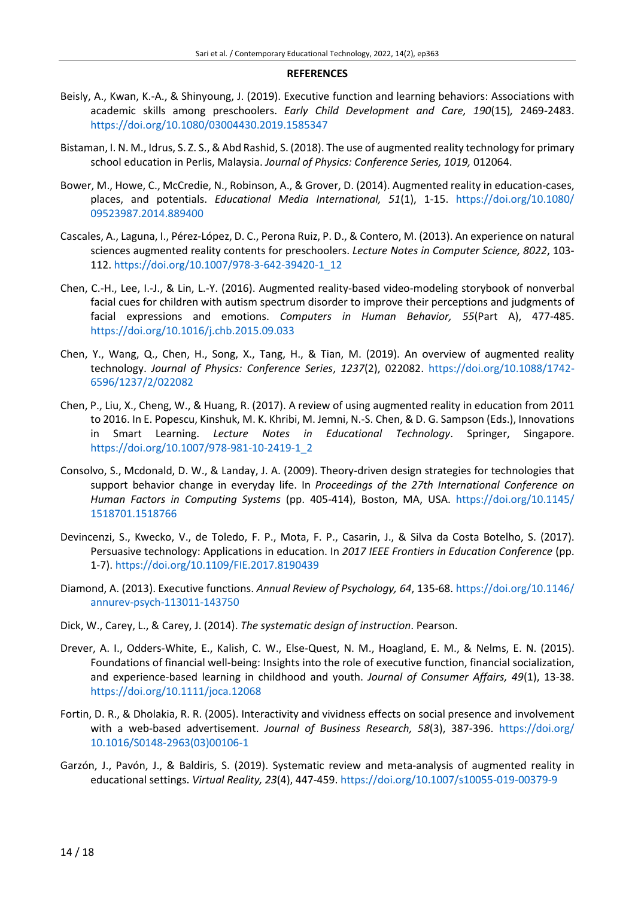#### **REFERENCES**

- Beisly, A., Kwan, K.-A., & Shinyoung, J. (2019). Executive function and learning behaviors: Associations with academic skills among preschoolers. *Early Child Development and Care, 190*(15)*,* 2469-2483. <https://doi.org/10.1080/03004430.2019.1585347>
- Bistaman, I. N. M., Idrus, S. Z. S., & Abd Rashid, S. (2018). The use of augmented reality technology for primary school education in Perlis, Malaysia. *Journal of Physics: Conference Series, 1019,* 012064.
- Bower, M., Howe, C., McCredie, N., Robinson, A., & Grover, D. (2014). Augmented reality in education-cases, places, and potentials. *Educational Media International, 51*(1), 1-15. [https://doi.org/10.1080/](https://doi.org/10.1080/09523987.2014.889400) [09523987.2014.889400](https://doi.org/10.1080/09523987.2014.889400)
- Cascales, A., Laguna, I., Pérez-López, D. C., Perona Ruiz, P. D., & Contero, M. (2013). An experience on natural sciences augmented reality contents for preschoolers. *Lecture Notes in Computer Science, 8022*, 103- 112. [https://doi.org/10.1007/978-3-642-39420-1\\_12](https://doi.org/10.1007/978-3-642-39420-1_12)
- Chen, C.-H., Lee, I.-J., & Lin, L.-Y. (2016). Augmented reality-based video-modeling storybook of nonverbal facial cues for children with autism spectrum disorder to improve their perceptions and judgments of facial expressions and emotions. *Computers in Human Behavior, 55*(Part A), 477-485. <https://doi.org/10.1016/j.chb.2015.09.033>
- Chen, Y., Wang, Q., Chen, H., Song, X., Tang, H., & Tian, M. (2019). An overview of augmented reality technology. *Journal of Physics: Conference Series*, *1237*(2), 022082. [https://doi.org/10.1088/1742-](https://doi.org/10.1088/1742-6596/1237/2/022082) [6596/1237/2/022082](https://doi.org/10.1088/1742-6596/1237/2/022082)
- Chen, P., Liu, X., Cheng, W., & Huang, R. (2017). A review of using augmented reality in education from 2011 to 2016. In E. Popescu, Kinshuk, M. K. Khribi, M. Jemni, N.-S. Chen, & D. G. Sampson (Eds.), Innovations in Smart Learning. *Lecture Notes in Educational Technology*. Springer, Singapore. [https://doi.org/10.1007/978-981-10-2419-1\\_2](https://doi.org/10.1007/978-981-10-2419-1_2)
- Consolvo, S., Mcdonald, D. W., & Landay, J. A. (2009). Theory-driven design strategies for technologies that support behavior change in everyday life. In *Proceedings of the 27th International Conference on Human Factors in Computing Systems* (pp. 405-414), Boston, MA, USA. [https://doi.org/10.1145/](https://doi.org/10.1145/1518701.1518766) [1518701.1518766](https://doi.org/10.1145/1518701.1518766)
- Devincenzi, S., Kwecko, V., de Toledo, F. P., Mota, F. P., Casarin, J., & Silva da Costa Botelho, S. (2017). Persuasive technology: Applications in education. In *2017 IEEE Frontiers in Education Conference* (pp. 1-7). <https://doi.org/10.1109/FIE.2017.8190439>
- Diamond, A. (2013). Executive functions. *Annual Review of Psychology, 64*, 135-68. [https://doi.org/10.1146/](https://doi.org/10.1146/annurev-psych-113011-143750) [annurev-psych-113011-143750](https://doi.org/10.1146/annurev-psych-113011-143750)
- Dick, W., Carey, L., & Carey, J. (2014). *The systematic design of instruction*. Pearson.
- Drever, A. I., Odders‐White, E., Kalish, C. W., Else‐Quest, N. M., Hoagland, E. M., & Nelms, E. N. (2015). Foundations of financial well‐being: Insights into the role of executive function, financial socialization, and experience‐based learning in childhood and youth. *Journal of Consumer Affairs, 49*(1), 13-38. <https://doi.org/10.1111/joca.12068>
- Fortin, D. R., & Dholakia, R. R. (2005). Interactivity and vividness effects on social presence and involvement with a web-based advertisement. *Journal of Business Research, 58*(3), 387-396. [https://doi.org/](https://doi.org/10.1016/S0148-2963(03)00106-1) [10.1016/S0148-2963\(03\)00106-1](https://doi.org/10.1016/S0148-2963(03)00106-1)
- Garzón, J., Pavón, J., & Baldiris, S. (2019). Systematic review and meta-analysis of augmented reality in educational settings. *Virtual Reality, 23*(4), 447-459. <https://doi.org/10.1007/s10055-019-00379-9>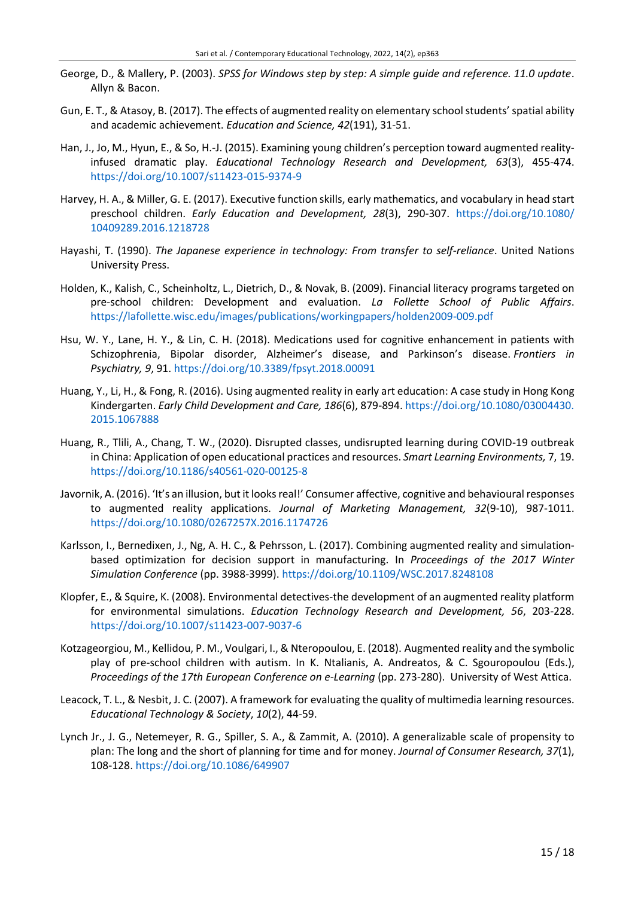- George, D., & Mallery, P. (2003). *SPSS for Windows step by step: A simple guide and reference. 11.0 update*. Allyn & Bacon.
- Gun, E. T., & Atasoy, B. (2017). The effects of augmented reality on elementary school students'spatial ability and academic achievement. *Education and Science, 42*(191), 31-51.
- Han, J., Jo, M., Hyun, E., & So, H.-J. (2015). Examining young children's perception toward augmented realityinfused dramatic play. *Educational Technology Research and Development, 63*(3), 455-474. <https://doi.org/10.1007/s11423-015-9374-9>
- Harvey, H. A., & Miller, G. E. (2017). Executive function skills, early mathematics, and vocabulary in head start preschool children. *Early Education and Development, 28*(3), 290-307. [https://doi.org/10.1080/](https://doi.org/10.1080/10409289.2016.1218728) [10409289.2016.1218728](https://doi.org/10.1080/10409289.2016.1218728)
- Hayashi, T. (1990). *The Japanese experience in technology: From transfer to self-reliance*. United Nations University Press.
- Holden, K., Kalish, C., Scheinholtz, L., Dietrich, D., & Novak, B. (2009). Financial literacy programs targeted on pre-school children: Development and evaluation. *La Follette School of Public Affairs*. <https://lafollette.wisc.edu/images/publications/workingpapers/holden2009-009.pdf>
- Hsu, W. Y., Lane, H. Y., & Lin, C. H. (2018). Medications used for cognitive enhancement in patients with Schizophrenia, Bipolar disorder, Alzheimer's disease, and Parkinson's disease. *Frontiers in Psychiatry, 9*, 91.<https://doi.org/10.3389/fpsyt.2018.00091>
- Huang, Y., Li, H., & Fong, R. (2016). Using augmented reality in early art education: A case study in Hong Kong Kindergarten. *Early Child Development and Care, 186*(6), 879-894. [https://doi.org/10.1080/03004430.](https://doi.org/10.1080/03004430.2015.1067888) [2015.1067888](https://doi.org/10.1080/03004430.2015.1067888)
- Huang, R., Tlili, A., Chang, T. W., (2020). Disrupted classes, undisrupted learning during COVID-19 outbreak in China: Application of open educational practices and resources. *Smart Learning Environments,* 7, 19. <https://doi.org/10.1186/s40561-020-00125-8>
- Javornik, A. (2016). 'It's an illusion, but it looks real!' Consumer affective, cognitive and behavioural responses to augmented reality applications. *Journal of Marketing Management, 32*(9-10), 987-1011. <https://doi.org/10.1080/0267257X.2016.1174726>
- Karlsson, I., Bernedixen, J., Ng, A. H. C., & Pehrsson, L. (2017). Combining augmented reality and simulationbased optimization for decision support in manufacturing. In *Proceedings of the 2017 Winter Simulation Conference* (pp. 3988-3999). <https://doi.org/10.1109/WSC.2017.8248108>
- Klopfer, E., & Squire, K. (2008). Environmental detectives-the development of an augmented reality platform for environmental simulations. *Education Technology Research and Development, 56*, 203-228. <https://doi.org/10.1007/s11423-007-9037-6>
- Kotzageorgiou, M., Kellidou, P. M., Voulgari, I., & Nteropoulou, E. (2018). Augmented reality and the symbolic play of pre-school children with autism. In K. Ntalianis, A. Andreatos, & C. Sgouropoulou (Eds.), *Proceedings of the 17th European Conference on e-Learning* (pp. 273-280). University of West Attica.
- Leacock, T. L., & Nesbit, J. C. (2007). A framework for evaluating the quality of multimedia learning resources. *Educational Technology & Society*, *10*(2), 44-59.
- Lynch Jr., J. G., Netemeyer, R. G., Spiller, S. A., & Zammit, A. (2010). A generalizable scale of propensity to plan: The long and the short of planning for time and for money. *Journal of Consumer Research, 37*(1), 108-128. <https://doi.org/10.1086/649907>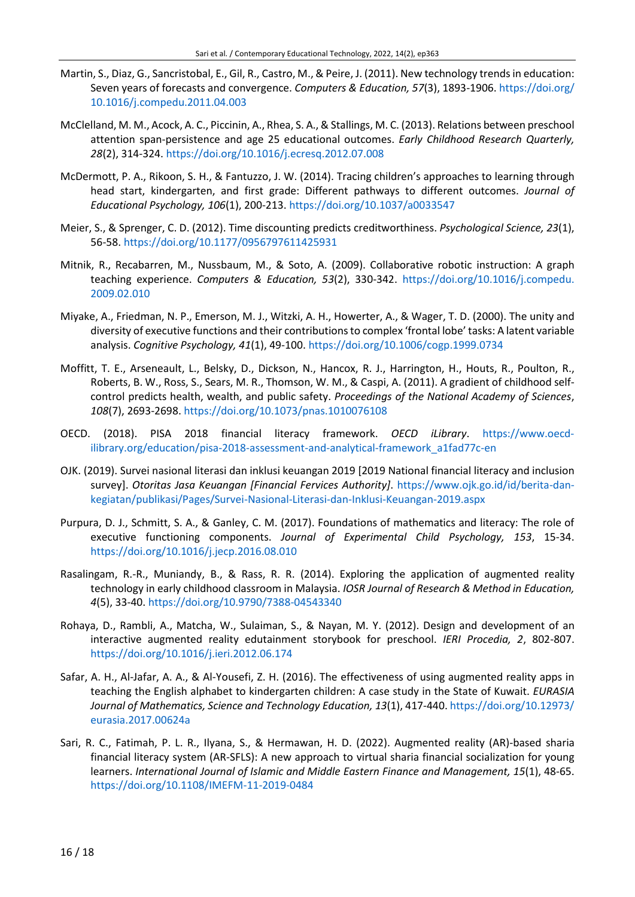- Martin, S., Diaz, G., Sancristobal, E., Gil, R., Castro, M., & Peire, J. (2011). New technology trends in education: Seven years of forecasts and convergence. *Computers & Education, 57*(3), 1893-1906. [https://doi.org/](https://doi.org/10.1016/j.compedu.2011.04.003) [10.1016/j.compedu.2011.04.003](https://doi.org/10.1016/j.compedu.2011.04.003)
- McClelland, M. M., Acock, A. C., Piccinin, A., Rhea, S. A., & Stallings, M. C. (2013). Relations between preschool attention span-persistence and age 25 educational outcomes. *Early Childhood Research Quarterly, 28*(2), 314-324. <https://doi.org/10.1016/j.ecresq.2012.07.008>
- McDermott, P. A., Rikoon, S. H., & Fantuzzo, J. W. (2014). Tracing children's approaches to learning through head start, kindergarten, and first grade: Different pathways to different outcomes. *Journal of Educational Psychology, 106*(1), 200-213. <https://doi.org/10.1037/a0033547>
- Meier, S., & Sprenger, C. D. (2012). Time discounting predicts creditworthiness. *Psychological Science, 23*(1), 56-58. <https://doi.org/10.1177/0956797611425931>
- Mitnik, R., Recabarren, M., Nussbaum, M., & Soto, A. (2009). Collaborative robotic instruction: A graph teaching experience. *Computers & Education, 53*(2), 330-342. [https://doi.org/10.1016/j.compedu.](https://doi.org/10.1016/j.compedu.2009.02.010) [2009.02.010](https://doi.org/10.1016/j.compedu.2009.02.010)
- Miyake, A., Friedman, N. P., Emerson, M. J., Witzki, A. H., Howerter, A., & Wager, T. D. (2000). The unity and diversity of executive functions and their contributions to complex 'frontal lobe' tasks: A latent variable analysis. *Cognitive Psychology, 41*(1), 49-100. <https://doi.org/10.1006/cogp.1999.0734>
- Moffitt, T. E., Arseneault, L., Belsky, D., Dickson, N., Hancox, R. J., Harrington, H., Houts, R., Poulton, R., Roberts, B. W., Ross, S., Sears, M. R., Thomson, W. M., & Caspi, A. (2011). A gradient of childhood selfcontrol predicts health, wealth, and public safety. *Proceedings of the National Academy of Sciences*, *108*(7), 2693-2698. <https://doi.org/10.1073/pnas.1010076108>
- OECD. (2018). PISA 2018 financial literacy framework. *OECD iLibrary*. [https://www.oecd](https://www.oecd-ilibrary.org/education/pisa-2018-assessment-and-analytical-framework_a1fad77c-en)[ilibrary.org/education/pisa-2018-assessment-and-analytical-framework\\_a1fad77c-en](https://www.oecd-ilibrary.org/education/pisa-2018-assessment-and-analytical-framework_a1fad77c-en)
- OJK. (2019). Survei nasional literasi dan inklusi keuangan 2019 [2019 National financial literacy and inclusion survey]. *Otoritas Jasa Keuangan [Financial Fervices Authority]*. [https://www.ojk.go.id/id/berita-dan](https://www.ojk.go.id/id/berita-dan-kegiatan/publikasi/Pages/Survei-Nasional-Literasi-dan-Inklusi-Keuangan-2019.aspx)[kegiatan/publikasi/Pages/Survei-Nasional-Literasi-dan-Inklusi-Keuangan-2019.aspx](https://www.ojk.go.id/id/berita-dan-kegiatan/publikasi/Pages/Survei-Nasional-Literasi-dan-Inklusi-Keuangan-2019.aspx)
- Purpura, D. J., Schmitt, S. A., & Ganley, C. M. (2017). Foundations of mathematics and literacy: The role of executive functioning components. *Journal of Experimental Child Psychology, 153*, 15-34. <https://doi.org/10.1016/j.jecp.2016.08.010>
- Rasalingam, R.-R., Muniandy, B., & Rass, R. R. (2014). Exploring the application of augmented reality technology in early childhood classroom in Malaysia. *IOSR Journal of Research & Method in Education, 4*(5), 33-40. <https://doi.org/10.9790/7388-04543340>
- Rohaya, D., Rambli, A., Matcha, W., Sulaiman, S., & Nayan, M. Y. (2012). Design and development of an interactive augmented reality edutainment storybook for preschool. *IERI Procedia, 2*, 802-807. <https://doi.org/10.1016/j.ieri.2012.06.174>
- Safar, A. H., Al-Jafar, A. A., & Al-Yousefi, Z. H. (2016). The effectiveness of using augmented reality apps in teaching the English alphabet to kindergarten children: A case study in the State of Kuwait. *EURASIA Journal of Mathematics, Science and Technology Education, 13*(1), 417-440. [https://doi.org/10.12973/](https://doi.org/10.12973/eurasia.2017.00624a) [eurasia.2017.00624a](https://doi.org/10.12973/eurasia.2017.00624a)
- Sari, R. C., Fatimah, P. L. R., Ilyana, S., & Hermawan, H. D. (2022). Augmented reality (AR)-based sharia financial literacy system (AR-SFLS): A new approach to virtual sharia financial socialization for young learners. *International Journal of Islamic and Middle Eastern Finance and Management, 15*(1), 48-65. <https://doi.org/10.1108/IMEFM-11-2019-0484>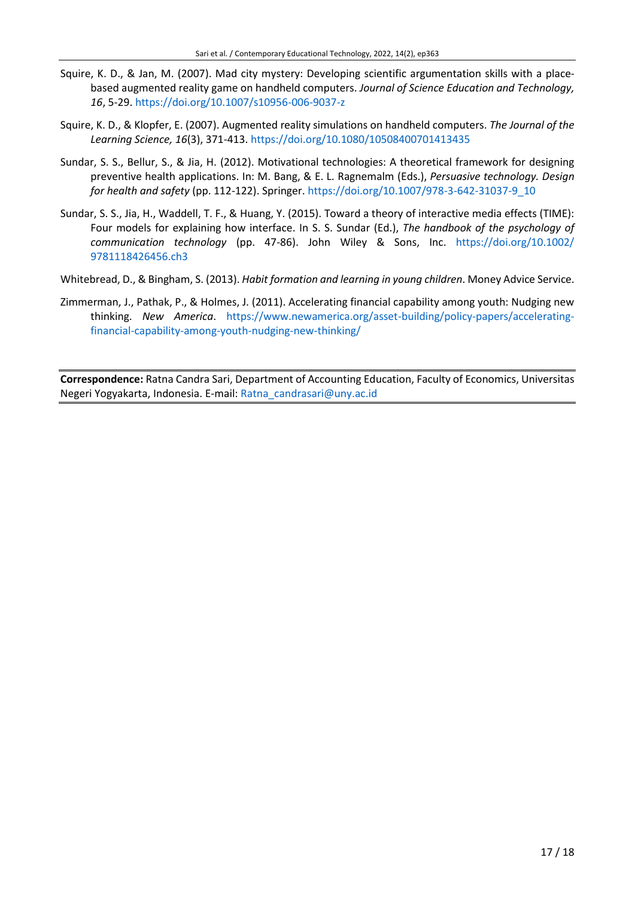- Squire, K. D., & Jan, M. (2007). Mad city mystery: Developing scientific argumentation skills with a placebased augmented reality game on handheld computers. *Journal of Science Education and Technology, 16*, 5-29. <https://doi.org/10.1007/s10956-006-9037-z>
- Squire, K. D., & Klopfer, E. (2007). Augmented reality simulations on handheld computers. *The Journal of the Learning Science, 16*(3), 371-413. <https://doi.org/10.1080/10508400701413435>
- Sundar, S. S., Bellur, S., & Jia, H. (2012). Motivational technologies: A theoretical framework for designing preventive health applications. In: M. Bang, & E. L. Ragnemalm (Eds.), *Persuasive technology. Design for health and safety* (pp. 112-122). Springer[. https://doi.org/10.1007/978-3-642-31037-9\\_10](https://doi.org/10.1007/978-3-642-31037-9_10)
- Sundar, S. S., Jia, H., Waddell, T. F., & Huang, Y. (2015). Toward a theory of interactive media effects (TIME): Four models for explaining how interface. In S. S. Sundar (Ed.), *The handbook of the psychology of communication technology* (pp. 47-86). John Wiley & Sons, Inc. [https://doi.org/10.1002/](https://doi.org/10.1002/9781118426456.ch3) [9781118426456.ch3](https://doi.org/10.1002/9781118426456.ch3)
- Whitebread, D., & Bingham, S. (2013). *Habit formation and learning in young children*. Money Advice Service.
- Zimmerman, J., Pathak, P., & Holmes, J. (2011). Accelerating financial capability among youth: Nudging new thinking. *New America*. [https://www.newamerica.org/asset-building/policy-papers/accelerating](https://www.newamerica.org/asset-building/policy-papers/accelerating-financial-capability-among-youth-nudging-new-thinking/)[financial-capability-among-youth-nudging-new-thinking/](https://www.newamerica.org/asset-building/policy-papers/accelerating-financial-capability-among-youth-nudging-new-thinking/)

**Correspondence:** Ratna Candra Sari, Department of Accounting Education, Faculty of Economics, Universitas Negeri Yogyakarta, Indonesia. E-mail[: Ratna\\_candrasari@uny.ac.id](mailto:Ratna_candrasari@uny.ac.id)